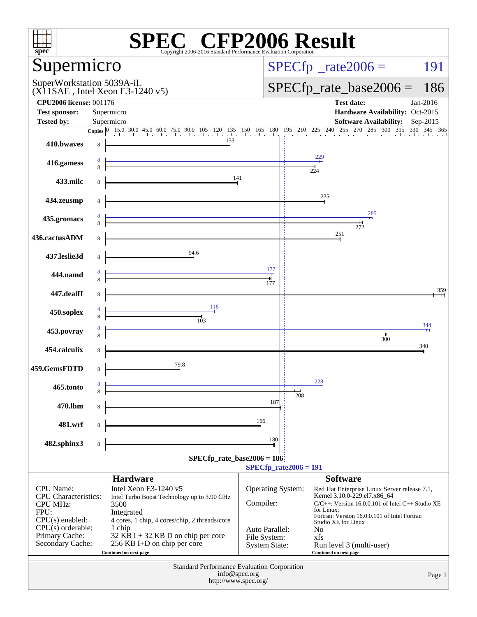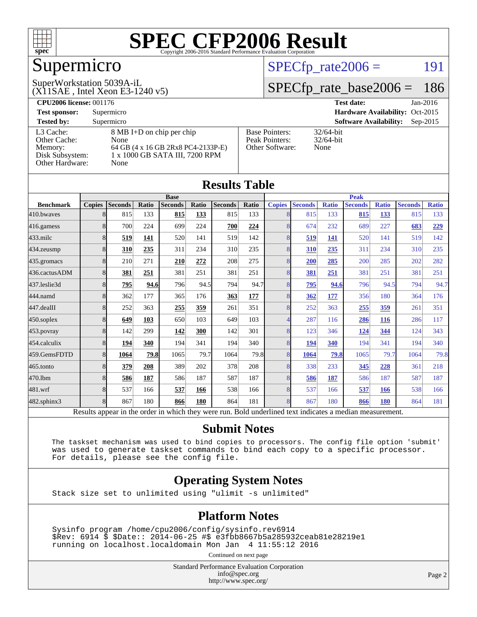

# Supermicro

#### (X11SAE , Intel Xeon E3-1240 v5) SuperWorkstation 5039A-iL

 $SPECTp_rate2006 = 191$ 

### [SPECfp\\_rate\\_base2006 =](http://www.spec.org/auto/cpu2006/Docs/result-fields.html#SPECfpratebase2006) 186

| <b>CPU2006 license: 001176</b> |                                    |                       | <b>Test date:</b><br>$Jan-2016$             |
|--------------------------------|------------------------------------|-----------------------|---------------------------------------------|
| <b>Test sponsor:</b>           | Supermicro                         |                       | Hardware Availability: Oct-2015             |
| <b>Tested by:</b>              | Supermicro                         |                       | <b>Software Availability:</b><br>$Sep-2015$ |
| L3 Cache:                      | 8 MB I+D on chip per chip          | <b>Base Pointers:</b> | $32/64$ -bit                                |
| Other Cache:                   | None                               | Peak Pointers:        | $32/64$ -bit                                |
| Memory:                        | 64 GB (4 x 16 GB 2Rx8 PC4-2133P-E) | Other Software:       | None                                        |
| Disk Subsystem:                | 1 x 1000 GB SATA III, 7200 RPM     |                       |                                             |
| <b>Other Hardware:</b>         | None                               |                       |                                             |

| <b>Results Table</b> |               |                |       |                                                                                                          |       |                |       |                |                |              |                |              |                |              |
|----------------------|---------------|----------------|-------|----------------------------------------------------------------------------------------------------------|-------|----------------|-------|----------------|----------------|--------------|----------------|--------------|----------------|--------------|
|                      | <b>Base</b>   |                |       |                                                                                                          |       | <b>Peak</b>    |       |                |                |              |                |              |                |              |
| <b>Benchmark</b>     | <b>Copies</b> | <b>Seconds</b> | Ratio | <b>Seconds</b>                                                                                           | Ratio | <b>Seconds</b> | Ratio | <b>Copies</b>  | <b>Seconds</b> | <b>Ratio</b> | <b>Seconds</b> | <b>Ratio</b> | <b>Seconds</b> | <b>Ratio</b> |
| 410.bwayes           | 8             | 815            | 133   | 815                                                                                                      | 133   | 815            | 133   | 8              | 815            | 133          | 815            | 133          | 815            | 133          |
| 416.gamess           | 8             | 700            | 224   | 699                                                                                                      | 224   | 700            | 224   | 8              | 674            | 232          | 689            | 227          | 683            | 229          |
| 433.milc             | 8             | 519            | 141   | 520                                                                                                      | 141   | 519            | 142   | 8              | 519            | 141          | 520            | 141          | 519            | 142          |
| 434.zeusmp           | 8             | 310            | 235   | 311                                                                                                      | 234   | 310            | 235   | 8              | 310            | 235          | 311            | 234          | 310            | 235          |
| 435.gromacs          | $\mathsf{R}$  | 210            | 271   | 210                                                                                                      | 272   | 208            | 275   | 8              | 200            | 285          | 200            | 285          | 202            | 282          |
| 436.cactusADM        | 8             | 381            | 251   | 381                                                                                                      | 251   | 381            | 251   | $\overline{8}$ | 381            | 251          | 381            | 251          | 381            | 251          |
| 437.leslie3d         | 8             | 795            | 94.6  | 796                                                                                                      | 94.5  | 794            | 94.7  | 8              | 795            | 94.6         | 796            | 94.5         | 794            | 94.7         |
| 444.namd             | 8             | 362            | 177   | 365                                                                                                      | 176   | 363            | 177   | 8              | 362            | 177          | 356            | 180          | 364            | 176          |
| 447.dealII           | 8             | 252            | 363   | 255                                                                                                      | 359   | 261            | 351   | $\overline{8}$ | 252            | 363          | 255            | 359          | 261            | 351          |
| 450.soplex           | 8             | 649            | 103   | 650                                                                                                      | 103   | 649            | 103   | 4              | 287            | 116          | 286            | 116          | 286            | 117          |
| 453.povray           | 8             | 142            | 299   | 142                                                                                                      | 300   | 142            | 301   | 8              | 123            | 346          | 124            | 344          | 124            | 343          |
| 454.calculix         | $\mathsf{R}$  | 194            | 340   | 194                                                                                                      | 341   | 194            | 340   | 8              | 194            | 340          | 194            | 341          | 194            | 340          |
| 459.GemsFDTD         | 8             | 1064           | 79.8  | 1065                                                                                                     | 79.7  | 1064           | 79.8  | $\overline{8}$ | 1064           | 79.8         | 1065           | 79.7         | 1064           | 79.8         |
| 465.tonto            | 8             | 379            | 208   | 389                                                                                                      | 202   | 378            | 208   | $\overline{8}$ | 338            | 233          | 345            | 228          | 361            | 218          |
| 470.1bm              | 8             | 586            | 187   | 586                                                                                                      | 187   | 587            | 187   | 8              | 586            | 187          | 586            | 187          | 587            | 187          |
| 481.wrf              | 8             | 537            | 166   | 537                                                                                                      | 166   | 538            | 166   | 8              | 537            | 166          | 537            | 166          | 538            | 166          |
| 482.sphinx3          | 8             | 867            | 180   | 866                                                                                                      | 180   | 864            | 181   | 8              | 867            | 180          | 866            | 180          | 864            | 181          |
|                      |               |                |       | Results appear in the order in which they were run. Bold underlined text indicates a median measurement. |       |                |       |                |                |              |                |              |                |              |

#### **[Submit Notes](http://www.spec.org/auto/cpu2006/Docs/result-fields.html#SubmitNotes)**

 The taskset mechanism was used to bind copies to processors. The config file option 'submit' was used to generate taskset commands to bind each copy to a specific processor. For details, please see the config file.

#### **[Operating System Notes](http://www.spec.org/auto/cpu2006/Docs/result-fields.html#OperatingSystemNotes)**

Stack size set to unlimited using "ulimit -s unlimited"

#### **[Platform Notes](http://www.spec.org/auto/cpu2006/Docs/result-fields.html#PlatformNotes)**

 Sysinfo program /home/cpu2006/config/sysinfo.rev6914 \$Rev: 6914 \$ \$Date:: 2014-06-25 #\$ e3fbb8667b5a285932ceab81e28219e1 running on localhost.localdomain Mon Jan 4 11:55:12 2016

Continued on next page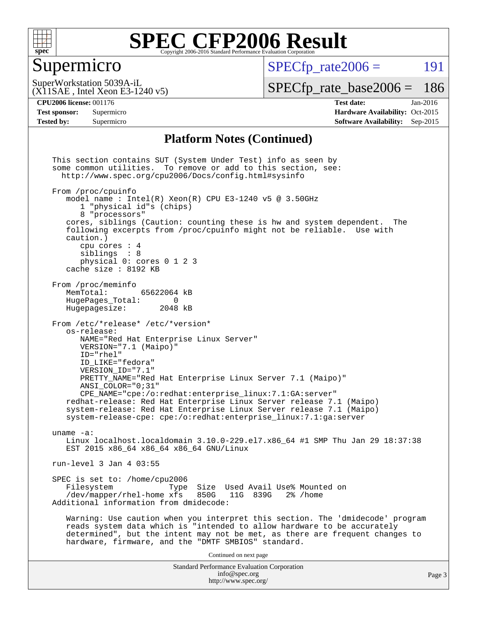

#### Supermicro

 $SPECTp\_rate2006 = 191$ 

(X11SAE , Intel Xeon E3-1240 v5) SuperWorkstation 5039A-iL

[SPECfp\\_rate\\_base2006 =](http://www.spec.org/auto/cpu2006/Docs/result-fields.html#SPECfpratebase2006) 186

**[Tested by:](http://www.spec.org/auto/cpu2006/Docs/result-fields.html#Testedby)** Supermicro **[Software Availability:](http://www.spec.org/auto/cpu2006/Docs/result-fields.html#SoftwareAvailability)** Sep-2015

**[CPU2006 license:](http://www.spec.org/auto/cpu2006/Docs/result-fields.html#CPU2006license)** 001176 **[Test date:](http://www.spec.org/auto/cpu2006/Docs/result-fields.html#Testdate)** Jan-2016 **[Test sponsor:](http://www.spec.org/auto/cpu2006/Docs/result-fields.html#Testsponsor)** Supermicro Supermicro **[Hardware Availability:](http://www.spec.org/auto/cpu2006/Docs/result-fields.html#HardwareAvailability)** Oct-2015

#### **[Platform Notes \(Continued\)](http://www.spec.org/auto/cpu2006/Docs/result-fields.html#PlatformNotes)**

Standard Performance Evaluation Corporation [info@spec.org](mailto:info@spec.org) <http://www.spec.org/> Page 3 This section contains SUT (System Under Test) info as seen by some common utilities. To remove or add to this section, see: <http://www.spec.org/cpu2006/Docs/config.html#sysinfo> From /proc/cpuinfo model name : Intel $(R)$  Xeon $(R)$  CPU E3-1240 v5 @ 3.50GHz 1 "physical id"s (chips) 8 "processors" cores, siblings (Caution: counting these is hw and system dependent. The following excerpts from /proc/cpuinfo might not be reliable. Use with caution.) cpu cores : 4 siblings : 8 physical 0: cores 0 1 2 3 cache size : 8192 KB From /proc/meminfo MemTotal: 65622064 kB<br>HugePages Total: 0 HugePages\_Total: 0<br>Hugepagesize: 2048 kB Hugepagesize: From /etc/\*release\* /etc/\*version\* os-release: NAME="Red Hat Enterprise Linux Server" VERSION="7.1 (Maipo)" ID="rhel" ID\_LIKE="fedora" VERSION\_ID="7.1" PRETTY\_NAME="Red Hat Enterprise Linux Server 7.1 (Maipo)" ANSI\_COLOR="0;31" CPE\_NAME="cpe:/o:redhat:enterprise\_linux:7.1:GA:server" redhat-release: Red Hat Enterprise Linux Server release 7.1 (Maipo) system-release: Red Hat Enterprise Linux Server release 7.1 (Maipo) system-release-cpe: cpe:/o:redhat:enterprise\_linux:7.1:ga:server uname -a: Linux localhost.localdomain 3.10.0-229.el7.x86\_64 #1 SMP Thu Jan 29 18:37:38 EST 2015 x86\_64 x86\_64 x86\_64 GNU/Linux run-level 3 Jan 4 03:55 SPEC is set to: /home/cpu2006<br>Filesystem Type Type Size Used Avail Use% Mounted on<br>xfs 850G 11G 839G 2% /home /dev/mapper/rhel-home xfs 850G Additional information from dmidecode: Warning: Use caution when you interpret this section. The 'dmidecode' program reads system data which is "intended to allow hardware to be accurately determined", but the intent may not be met, as there are frequent changes to hardware, firmware, and the "DMTF SMBIOS" standard. Continued on next page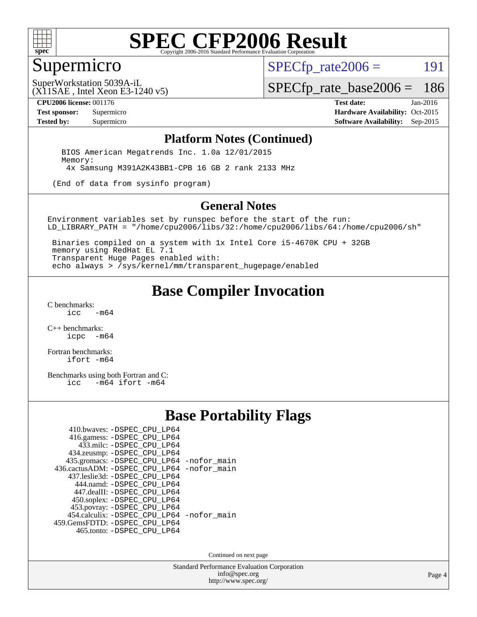

#### Supermicro

 $SPECTp\_rate2006 = 191$ 

(X11SAE , Intel Xeon E3-1240 v5) SuperWorkstation 5039A-iL

[SPECfp\\_rate\\_base2006 =](http://www.spec.org/auto/cpu2006/Docs/result-fields.html#SPECfpratebase2006) 186

**[CPU2006 license:](http://www.spec.org/auto/cpu2006/Docs/result-fields.html#CPU2006license)** 001176 **[Test date:](http://www.spec.org/auto/cpu2006/Docs/result-fields.html#Testdate)** Jan-2016

**[Test sponsor:](http://www.spec.org/auto/cpu2006/Docs/result-fields.html#Testsponsor)** Supermicro Supermicro **[Hardware Availability:](http://www.spec.org/auto/cpu2006/Docs/result-fields.html#HardwareAvailability)** Oct-2015 **[Tested by:](http://www.spec.org/auto/cpu2006/Docs/result-fields.html#Testedby)** Supermicro **Supermicro [Software Availability:](http://www.spec.org/auto/cpu2006/Docs/result-fields.html#SoftwareAvailability)** Sep-2015

#### **[Platform Notes \(Continued\)](http://www.spec.org/auto/cpu2006/Docs/result-fields.html#PlatformNotes)**

 BIOS American Megatrends Inc. 1.0a 12/01/2015 Memory: 4x Samsung M391A2K43BB1-CPB 16 GB 2 rank 2133 MHz

(End of data from sysinfo program)

#### **[General Notes](http://www.spec.org/auto/cpu2006/Docs/result-fields.html#GeneralNotes)**

Environment variables set by runspec before the start of the run: LD\_LIBRARY\_PATH = "/home/cpu2006/libs/32:/home/cpu2006/libs/64:/home/cpu2006/sh"

 Binaries compiled on a system with 1x Intel Core i5-4670K CPU + 32GB memory using RedHat EL 7.1 Transparent Huge Pages enabled with: echo always > /sys/kernel/mm/transparent\_hugepage/enabled

#### **[Base Compiler Invocation](http://www.spec.org/auto/cpu2006/Docs/result-fields.html#BaseCompilerInvocation)**

[C benchmarks](http://www.spec.org/auto/cpu2006/Docs/result-fields.html#Cbenchmarks):  $-m64$ 

[C++ benchmarks:](http://www.spec.org/auto/cpu2006/Docs/result-fields.html#CXXbenchmarks) [icpc -m64](http://www.spec.org/cpu2006/results/res2016q1/cpu2006-20160106-38586.flags.html#user_CXXbase_intel_icpc_64bit_bedb90c1146cab66620883ef4f41a67e)

[Fortran benchmarks](http://www.spec.org/auto/cpu2006/Docs/result-fields.html#Fortranbenchmarks): [ifort -m64](http://www.spec.org/cpu2006/results/res2016q1/cpu2006-20160106-38586.flags.html#user_FCbase_intel_ifort_64bit_ee9d0fb25645d0210d97eb0527dcc06e)

[Benchmarks using both Fortran and C](http://www.spec.org/auto/cpu2006/Docs/result-fields.html#BenchmarksusingbothFortranandC):<br>icc -m64 ifort -m64  $-m64$  ifort  $-m64$ 

#### **[Base Portability Flags](http://www.spec.org/auto/cpu2006/Docs/result-fields.html#BasePortabilityFlags)**

| 410.bwaves: -DSPEC CPU LP64                 |  |
|---------------------------------------------|--|
| 416.gamess: -DSPEC_CPU_LP64                 |  |
| 433.milc: -DSPEC CPU LP64                   |  |
| 434.zeusmp: -DSPEC_CPU_LP64                 |  |
| 435.gromacs: -DSPEC_CPU_LP64 -nofor_main    |  |
| 436.cactusADM: -DSPEC CPU LP64 -nofor main  |  |
| 437.leslie3d: -DSPEC CPU LP64               |  |
| 444.namd: -DSPEC CPU LP64                   |  |
| 447.dealII: -DSPEC_CPU_LP64                 |  |
| 450.soplex: -DSPEC_CPU_LP64                 |  |
| 453.povray: -DSPEC_CPU_LP64                 |  |
| 454.calculix: - DSPEC CPU LP64 - nofor main |  |
| 459. GemsFDTD: - DSPEC CPU LP64             |  |
| 465.tonto: -DSPEC_CPU_LP64                  |  |

Continued on next page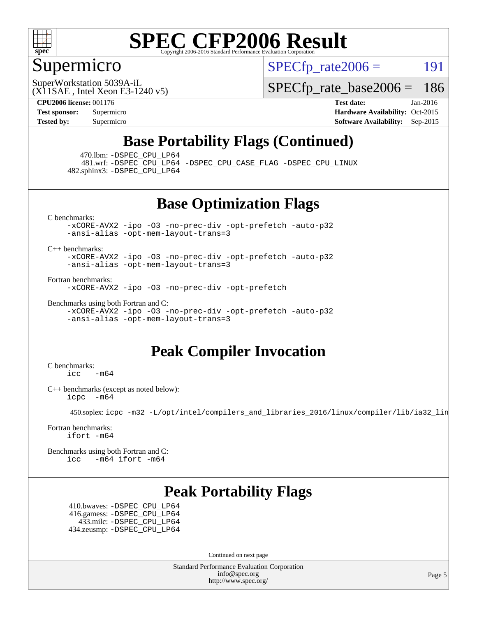

### Supermicro

 $SPECTp\_rate2006 = 191$ 

(X11SAE , Intel Xeon E3-1240 v5) SuperWorkstation 5039A-iL

[SPECfp\\_rate\\_base2006 =](http://www.spec.org/auto/cpu2006/Docs/result-fields.html#SPECfpratebase2006) 186

**[CPU2006 license:](http://www.spec.org/auto/cpu2006/Docs/result-fields.html#CPU2006license)** 001176 **[Test date:](http://www.spec.org/auto/cpu2006/Docs/result-fields.html#Testdate)** Jan-2016 **[Test sponsor:](http://www.spec.org/auto/cpu2006/Docs/result-fields.html#Testsponsor)** Supermicro Supermicro **[Hardware Availability:](http://www.spec.org/auto/cpu2006/Docs/result-fields.html#HardwareAvailability)** Oct-2015 **[Tested by:](http://www.spec.org/auto/cpu2006/Docs/result-fields.html#Testedby)** Supermicro **Supermicro [Software Availability:](http://www.spec.org/auto/cpu2006/Docs/result-fields.html#SoftwareAvailability)** Sep-2015

### **[Base Portability Flags \(Continued\)](http://www.spec.org/auto/cpu2006/Docs/result-fields.html#BasePortabilityFlags)**

470.lbm: [-DSPEC\\_CPU\\_LP64](http://www.spec.org/cpu2006/results/res2016q1/cpu2006-20160106-38586.flags.html#suite_basePORTABILITY470_lbm_DSPEC_CPU_LP64)

 481.wrf: [-DSPEC\\_CPU\\_LP64](http://www.spec.org/cpu2006/results/res2016q1/cpu2006-20160106-38586.flags.html#suite_basePORTABILITY481_wrf_DSPEC_CPU_LP64) [-DSPEC\\_CPU\\_CASE\\_FLAG](http://www.spec.org/cpu2006/results/res2016q1/cpu2006-20160106-38586.flags.html#b481.wrf_baseCPORTABILITY_DSPEC_CPU_CASE_FLAG) [-DSPEC\\_CPU\\_LINUX](http://www.spec.org/cpu2006/results/res2016q1/cpu2006-20160106-38586.flags.html#b481.wrf_baseCPORTABILITY_DSPEC_CPU_LINUX) 482.sphinx3: [-DSPEC\\_CPU\\_LP64](http://www.spec.org/cpu2006/results/res2016q1/cpu2006-20160106-38586.flags.html#suite_basePORTABILITY482_sphinx3_DSPEC_CPU_LP64)

#### **[Base Optimization Flags](http://www.spec.org/auto/cpu2006/Docs/result-fields.html#BaseOptimizationFlags)**

[C benchmarks](http://www.spec.org/auto/cpu2006/Docs/result-fields.html#Cbenchmarks):

[-xCORE-AVX2](http://www.spec.org/cpu2006/results/res2016q1/cpu2006-20160106-38586.flags.html#user_CCbase_f-xAVX2_5f5fc0cbe2c9f62c816d3e45806c70d7) [-ipo](http://www.spec.org/cpu2006/results/res2016q1/cpu2006-20160106-38586.flags.html#user_CCbase_f-ipo) [-O3](http://www.spec.org/cpu2006/results/res2016q1/cpu2006-20160106-38586.flags.html#user_CCbase_f-O3) [-no-prec-div](http://www.spec.org/cpu2006/results/res2016q1/cpu2006-20160106-38586.flags.html#user_CCbase_f-no-prec-div) [-opt-prefetch](http://www.spec.org/cpu2006/results/res2016q1/cpu2006-20160106-38586.flags.html#user_CCbase_f-opt-prefetch) [-auto-p32](http://www.spec.org/cpu2006/results/res2016q1/cpu2006-20160106-38586.flags.html#user_CCbase_f-auto-p32) [-ansi-alias](http://www.spec.org/cpu2006/results/res2016q1/cpu2006-20160106-38586.flags.html#user_CCbase_f-ansi-alias) [-opt-mem-layout-trans=3](http://www.spec.org/cpu2006/results/res2016q1/cpu2006-20160106-38586.flags.html#user_CCbase_f-opt-mem-layout-trans_a7b82ad4bd7abf52556d4961a2ae94d5)

[C++ benchmarks:](http://www.spec.org/auto/cpu2006/Docs/result-fields.html#CXXbenchmarks)

[-xCORE-AVX2](http://www.spec.org/cpu2006/results/res2016q1/cpu2006-20160106-38586.flags.html#user_CXXbase_f-xAVX2_5f5fc0cbe2c9f62c816d3e45806c70d7) [-ipo](http://www.spec.org/cpu2006/results/res2016q1/cpu2006-20160106-38586.flags.html#user_CXXbase_f-ipo) [-O3](http://www.spec.org/cpu2006/results/res2016q1/cpu2006-20160106-38586.flags.html#user_CXXbase_f-O3) [-no-prec-div](http://www.spec.org/cpu2006/results/res2016q1/cpu2006-20160106-38586.flags.html#user_CXXbase_f-no-prec-div) [-opt-prefetch](http://www.spec.org/cpu2006/results/res2016q1/cpu2006-20160106-38586.flags.html#user_CXXbase_f-opt-prefetch) [-auto-p32](http://www.spec.org/cpu2006/results/res2016q1/cpu2006-20160106-38586.flags.html#user_CXXbase_f-auto-p32) [-ansi-alias](http://www.spec.org/cpu2006/results/res2016q1/cpu2006-20160106-38586.flags.html#user_CXXbase_f-ansi-alias) [-opt-mem-layout-trans=3](http://www.spec.org/cpu2006/results/res2016q1/cpu2006-20160106-38586.flags.html#user_CXXbase_f-opt-mem-layout-trans_a7b82ad4bd7abf52556d4961a2ae94d5)

[Fortran benchmarks](http://www.spec.org/auto/cpu2006/Docs/result-fields.html#Fortranbenchmarks):

[-xCORE-AVX2](http://www.spec.org/cpu2006/results/res2016q1/cpu2006-20160106-38586.flags.html#user_FCbase_f-xAVX2_5f5fc0cbe2c9f62c816d3e45806c70d7) [-ipo](http://www.spec.org/cpu2006/results/res2016q1/cpu2006-20160106-38586.flags.html#user_FCbase_f-ipo) [-O3](http://www.spec.org/cpu2006/results/res2016q1/cpu2006-20160106-38586.flags.html#user_FCbase_f-O3) [-no-prec-div](http://www.spec.org/cpu2006/results/res2016q1/cpu2006-20160106-38586.flags.html#user_FCbase_f-no-prec-div) [-opt-prefetch](http://www.spec.org/cpu2006/results/res2016q1/cpu2006-20160106-38586.flags.html#user_FCbase_f-opt-prefetch)

[Benchmarks using both Fortran and C](http://www.spec.org/auto/cpu2006/Docs/result-fields.html#BenchmarksusingbothFortranandC): [-xCORE-AVX2](http://www.spec.org/cpu2006/results/res2016q1/cpu2006-20160106-38586.flags.html#user_CC_FCbase_f-xAVX2_5f5fc0cbe2c9f62c816d3e45806c70d7) [-ipo](http://www.spec.org/cpu2006/results/res2016q1/cpu2006-20160106-38586.flags.html#user_CC_FCbase_f-ipo) [-O3](http://www.spec.org/cpu2006/results/res2016q1/cpu2006-20160106-38586.flags.html#user_CC_FCbase_f-O3) [-no-prec-div](http://www.spec.org/cpu2006/results/res2016q1/cpu2006-20160106-38586.flags.html#user_CC_FCbase_f-no-prec-div) [-opt-prefetch](http://www.spec.org/cpu2006/results/res2016q1/cpu2006-20160106-38586.flags.html#user_CC_FCbase_f-opt-prefetch) [-auto-p32](http://www.spec.org/cpu2006/results/res2016q1/cpu2006-20160106-38586.flags.html#user_CC_FCbase_f-auto-p32) [-ansi-alias](http://www.spec.org/cpu2006/results/res2016q1/cpu2006-20160106-38586.flags.html#user_CC_FCbase_f-ansi-alias) [-opt-mem-layout-trans=3](http://www.spec.org/cpu2006/results/res2016q1/cpu2006-20160106-38586.flags.html#user_CC_FCbase_f-opt-mem-layout-trans_a7b82ad4bd7abf52556d4961a2ae94d5)

### **[Peak Compiler Invocation](http://www.spec.org/auto/cpu2006/Docs/result-fields.html#PeakCompilerInvocation)**

[C benchmarks](http://www.spec.org/auto/cpu2006/Docs/result-fields.html#Cbenchmarks):  $\text{icc}$  -m64

[C++ benchmarks \(except as noted below\):](http://www.spec.org/auto/cpu2006/Docs/result-fields.html#CXXbenchmarksexceptasnotedbelow) [icpc -m64](http://www.spec.org/cpu2006/results/res2016q1/cpu2006-20160106-38586.flags.html#user_CXXpeak_intel_icpc_64bit_bedb90c1146cab66620883ef4f41a67e)

450.soplex: [icpc -m32 -L/opt/intel/compilers\\_and\\_libraries\\_2016/linux/compiler/lib/ia32\\_lin](http://www.spec.org/cpu2006/results/res2016q1/cpu2006-20160106-38586.flags.html#user_peakCXXLD450_soplex_intel_icpc_b4f50a394bdb4597aa5879c16bc3f5c5)

[Fortran benchmarks](http://www.spec.org/auto/cpu2006/Docs/result-fields.html#Fortranbenchmarks): [ifort -m64](http://www.spec.org/cpu2006/results/res2016q1/cpu2006-20160106-38586.flags.html#user_FCpeak_intel_ifort_64bit_ee9d0fb25645d0210d97eb0527dcc06e)

[Benchmarks using both Fortran and C](http://www.spec.org/auto/cpu2006/Docs/result-fields.html#BenchmarksusingbothFortranandC): [icc -m64](http://www.spec.org/cpu2006/results/res2016q1/cpu2006-20160106-38586.flags.html#user_CC_FCpeak_intel_icc_64bit_0b7121f5ab7cfabee23d88897260401c) [ifort -m64](http://www.spec.org/cpu2006/results/res2016q1/cpu2006-20160106-38586.flags.html#user_CC_FCpeak_intel_ifort_64bit_ee9d0fb25645d0210d97eb0527dcc06e)

### **[Peak Portability Flags](http://www.spec.org/auto/cpu2006/Docs/result-fields.html#PeakPortabilityFlags)**

 410.bwaves: [-DSPEC\\_CPU\\_LP64](http://www.spec.org/cpu2006/results/res2016q1/cpu2006-20160106-38586.flags.html#suite_peakPORTABILITY410_bwaves_DSPEC_CPU_LP64) 416.gamess: [-DSPEC\\_CPU\\_LP64](http://www.spec.org/cpu2006/results/res2016q1/cpu2006-20160106-38586.flags.html#suite_peakPORTABILITY416_gamess_DSPEC_CPU_LP64) 433.milc: [-DSPEC\\_CPU\\_LP64](http://www.spec.org/cpu2006/results/res2016q1/cpu2006-20160106-38586.flags.html#suite_peakPORTABILITY433_milc_DSPEC_CPU_LP64) 434.zeusmp: [-DSPEC\\_CPU\\_LP64](http://www.spec.org/cpu2006/results/res2016q1/cpu2006-20160106-38586.flags.html#suite_peakPORTABILITY434_zeusmp_DSPEC_CPU_LP64)

Continued on next page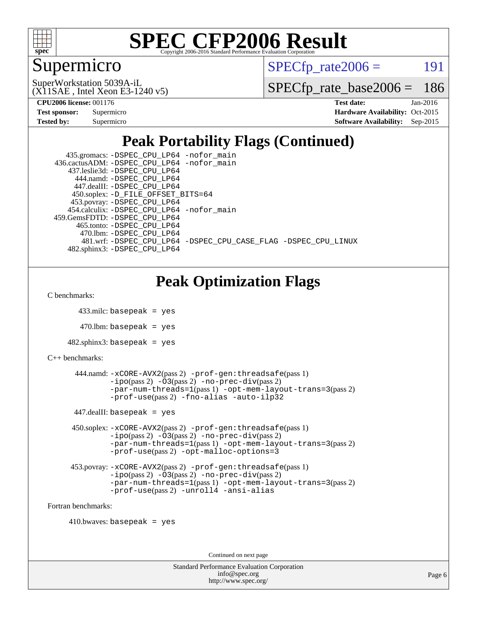

### Supermicro

 $SPECTp\_rate2006 = 191$ 

(X11SAE , Intel Xeon E3-1240 v5) SuperWorkstation 5039A-iL

[SPECfp\\_rate\\_base2006 =](http://www.spec.org/auto/cpu2006/Docs/result-fields.html#SPECfpratebase2006) 186

**[CPU2006 license:](http://www.spec.org/auto/cpu2006/Docs/result-fields.html#CPU2006license)** 001176 **[Test date:](http://www.spec.org/auto/cpu2006/Docs/result-fields.html#Testdate)** Jan-2016

| <b>Test sponsor:</b> | Supermicro |
|----------------------|------------|
| Tested by:           | Supermicro |

**[Hardware Availability:](http://www.spec.org/auto/cpu2006/Docs/result-fields.html#HardwareAvailability)** Oct-2015 **[Software Availability:](http://www.spec.org/auto/cpu2006/Docs/result-fields.html#SoftwareAvailability)** Sep-2015

## **[Peak Portability Flags \(Continued\)](http://www.spec.org/auto/cpu2006/Docs/result-fields.html#PeakPortabilityFlags)**

| 435.gromacs: -DSPEC_CPU_LP64 -nofor_main                       |
|----------------------------------------------------------------|
| 436.cactusADM: -DSPEC CPU LP64 -nofor main                     |
| 437.leslie3d: -DSPEC CPU LP64                                  |
| 444.namd: -DSPEC CPU LP64                                      |
| 447.dealII: -DSPEC CPU LP64                                    |
| 450.soplex: -D_FILE_OFFSET_BITS=64                             |
| 453.povray: -DSPEC_CPU_LP64                                    |
| 454.calculix: -DSPEC CPU LP64 -nofor main                      |
| 459. GemsFDTD: - DSPEC CPU LP64                                |
| 465.tonto: -DSPEC CPU LP64                                     |
| 470.1bm: -DSPEC_CPU_LP64                                       |
| 481.wrf: -DSPEC CPU LP64 -DSPEC CPU CASE FLAG -DSPEC CPU LINUX |
| 482.sphinx3: -DSPEC CPU LP64                                   |

## **[Peak Optimization Flags](http://www.spec.org/auto/cpu2006/Docs/result-fields.html#PeakOptimizationFlags)**

[C benchmarks](http://www.spec.org/auto/cpu2006/Docs/result-fields.html#Cbenchmarks):

```
 433.milc: basepeak = yes
```
 $470.$ lbm: basepeak = yes

```
482.sphinx3: basepeak = yes
```

```
C++ benchmarks:
```

```
 444.namd: -xCORE-AVX2(pass 2) -prof-gen:threadsafe(pass 1)
        -no-prec-div(pass 2)-par-num-threads=1(pass 1) -opt-mem-layout-trans=3(pass 2)
        -prof-use(pass 2) -fno-alias -auto-ilp32
447.dealII: basepeak = yes
 450.soplex: -xCORE-AVX2(pass 2) -prof-gen:threadsafe(pass 1)
         -ipo(pass 2) -O3(pass 2) -no-prec-div(pass 2)
         -par-num-threads=1(pass 1) -opt-mem-layout-trans=3(pass 2)
         -prof-use(pass 2) -opt-malloc-options=3
 453.povray: -xCORE-AVX2(pass 2) -prof-gen:threadsafe(pass 1)
         -no-prec-div(pass 2)
```

```
-par-num-threads=1(pass 1) -opt-mem-layout-trans=3(pass 2)
-prof-use(pass 2) -unroll4 -ansi-alias
```
[Fortran benchmarks](http://www.spec.org/auto/cpu2006/Docs/result-fields.html#Fortranbenchmarks):

```
410.bwaves: basepeak = yes
```
Continued on next page